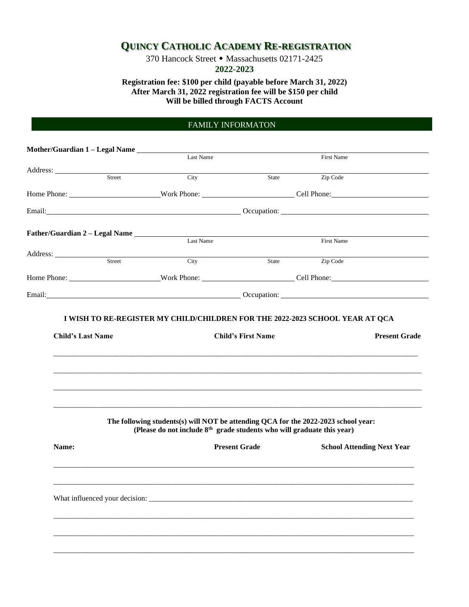## **QUINCY CATHOLIC ACADEMY RE-REGISTRATION**

370 Hancock Street • Massachusetts 02171-2425 **2022-2023**

**Registration fee: \$100 per child (payable before March 31, 2022) After March 31, 2022 registration fee will be \$150 per child Will be billed through FACTS Account**

## FAMILY INFORMATON

Student Information

| Mother/Guardian 1 - Legal Name |        |                                                                                                                                                                                                                                |                                                                                                                                                                                                                                |            |                                   |
|--------------------------------|--------|--------------------------------------------------------------------------------------------------------------------------------------------------------------------------------------------------------------------------------|--------------------------------------------------------------------------------------------------------------------------------------------------------------------------------------------------------------------------------|------------|-----------------------------------|
|                                |        | Last Name                                                                                                                                                                                                                      |                                                                                                                                                                                                                                | First Name |                                   |
|                                | Street | City                                                                                                                                                                                                                           | State                                                                                                                                                                                                                          | Zip Code   |                                   |
|                                |        |                                                                                                                                                                                                                                |                                                                                                                                                                                                                                |            |                                   |
|                                |        | Home Phone: Work Phone: Work Phone: Cell Phone: Cell Phone:                                                                                                                                                                    |                                                                                                                                                                                                                                |            |                                   |
|                                |        |                                                                                                                                                                                                                                | Email: Contract Contract Contract Contract Contract Contract Contract Contract Contract Contract Contract Contract Contract Contract Contract Contract Contract Contract Contract Contract Contract Contract Contract Contract |            |                                   |
|                                |        |                                                                                                                                                                                                                                |                                                                                                                                                                                                                                |            |                                   |
|                                |        | Last Name                                                                                                                                                                                                                      |                                                                                                                                                                                                                                | First Name |                                   |
|                                | Street | City                                                                                                                                                                                                                           | State                                                                                                                                                                                                                          | Zip Code   |                                   |
|                                |        |                                                                                                                                                                                                                                |                                                                                                                                                                                                                                |            |                                   |
|                                |        | Email: Contract Contract Contract Contract Contract Contract Contract Contract Contract Contract Contract Contract Contract Contract Contract Contract Contract Contract Contract Contract Contract Contract Contract Contract |                                                                                                                                                                                                                                |            |                                   |
|                                |        |                                                                                                                                                                                                                                |                                                                                                                                                                                                                                |            |                                   |
|                                |        | The following students(s) will NOT be attending QCA for the 2022-2023 school year:                                                                                                                                             |                                                                                                                                                                                                                                |            |                                   |
|                                |        | (Please do not include 8 <sup>th</sup> grade students who will graduate this year)                                                                                                                                             |                                                                                                                                                                                                                                |            |                                   |
| Name:                          |        |                                                                                                                                                                                                                                | <b>Present Grade</b>                                                                                                                                                                                                           |            | <b>School Attending Next Year</b> |
|                                |        |                                                                                                                                                                                                                                |                                                                                                                                                                                                                                |            |                                   |
|                                |        |                                                                                                                                                                                                                                |                                                                                                                                                                                                                                |            |                                   |
|                                |        | What influenced your decision:                                                                                                                                                                                                 |                                                                                                                                                                                                                                |            |                                   |
|                                |        |                                                                                                                                                                                                                                |                                                                                                                                                                                                                                |            |                                   |
|                                |        |                                                                                                                                                                                                                                |                                                                                                                                                                                                                                |            |                                   |
|                                |        |                                                                                                                                                                                                                                |                                                                                                                                                                                                                                |            |                                   |
|                                |        |                                                                                                                                                                                                                                |                                                                                                                                                                                                                                |            |                                   |